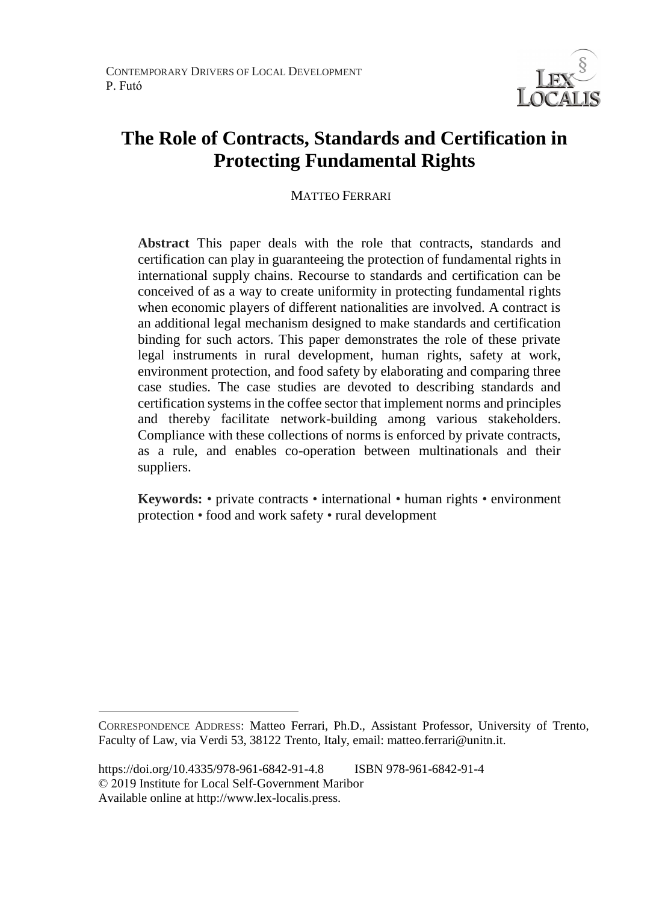

# **The Role of Contracts, Standards and Certification in Protecting Fundamental Rights**

MATTEO FERRARI

**Abstract** This paper deals with the role that contracts, standards and certification can play in guaranteeing the protection of fundamental rights in international supply chains. Recourse to standards and certification can be conceived of as a way to create uniformity in protecting fundamental rights when economic players of different nationalities are involved. A contract is an additional legal mechanism designed to make standards and certification binding for such actors. This paper demonstrates the role of these private legal instruments in rural development, human rights, safety at work, environment protection, and food safety by elaborating and comparing three case studies. The case studies are devoted to describing standards and certification systems in the coffee sector that implement norms and principles and thereby facilitate network-building among various stakeholders. Compliance with these collections of norms is enforced by private contracts, as a rule, and enables co-operation between multinationals and their suppliers.

**Keywords:** • private contracts • international • human rights • environment protection • food and work safety • rural development

 $\overline{a}$ 

CORRESPONDENCE ADDRESS: Matteo Ferrari, Ph.D., Assistant Professor, University of Trento, Faculty of Law, via Verdi 53, 38122 Trento, Italy, email: matteo.ferrari@unitn.it.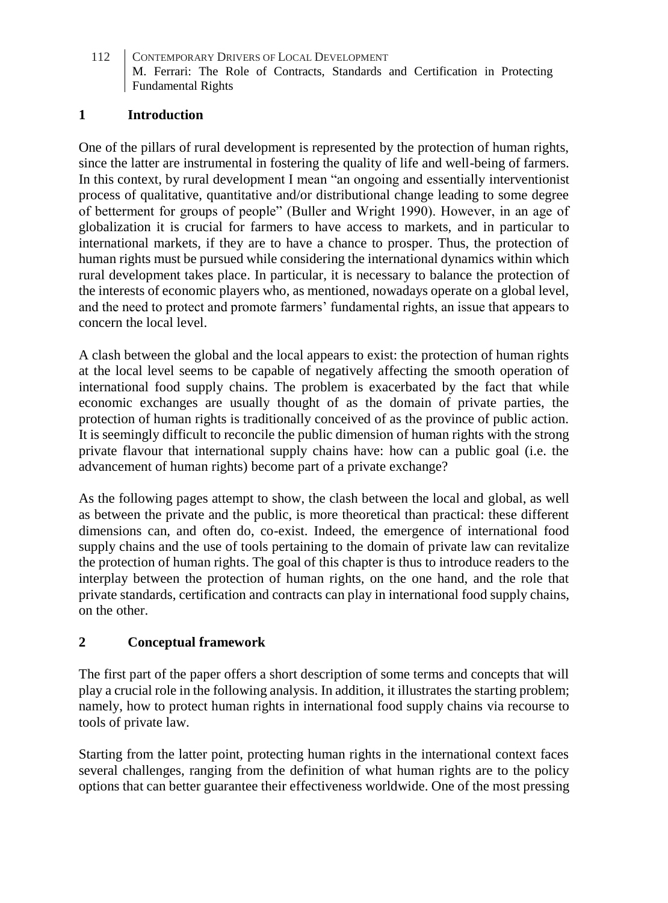### **1 Introduction**

One of the pillars of rural development is represented by the protection of human rights, since the latter are instrumental in fostering the quality of life and well-being of farmers. In this context, by rural development I mean "an ongoing and essentially interventionist process of qualitative, quantitative and/or distributional change leading to some degree of betterment for groups of people" (Buller and Wright 1990). However, in an age of globalization it is crucial for farmers to have access to markets, and in particular to international markets, if they are to have a chance to prosper. Thus, the protection of human rights must be pursued while considering the international dynamics within which rural development takes place. In particular, it is necessary to balance the protection of the interests of economic players who, as mentioned, nowadays operate on a global level, and the need to protect and promote farmers' fundamental rights, an issue that appears to concern the local level.

A clash between the global and the local appears to exist: the protection of human rights at the local level seems to be capable of negatively affecting the smooth operation of international food supply chains. The problem is exacerbated by the fact that while economic exchanges are usually thought of as the domain of private parties, the protection of human rights is traditionally conceived of as the province of public action. It is seemingly difficult to reconcile the public dimension of human rights with the strong private flavour that international supply chains have: how can a public goal (i.e. the advancement of human rights) become part of a private exchange?

As the following pages attempt to show, the clash between the local and global, as well as between the private and the public, is more theoretical than practical: these different dimensions can, and often do, co-exist. Indeed, the emergence of international food supply chains and the use of tools pertaining to the domain of private law can revitalize the protection of human rights. The goal of this chapter is thus to introduce readers to the interplay between the protection of human rights, on the one hand, and the role that private standards, certification and contracts can play in international food supply chains, on the other.

## **2 Conceptual framework**

The first part of the paper offers a short description of some terms and concepts that will play a crucial role in the following analysis. In addition, it illustrates the starting problem; namely, how to protect human rights in international food supply chains via recourse to tools of private law.

Starting from the latter point, protecting human rights in the international context faces several challenges, ranging from the definition of what human rights are to the policy options that can better guarantee their effectiveness worldwide. One of the most pressing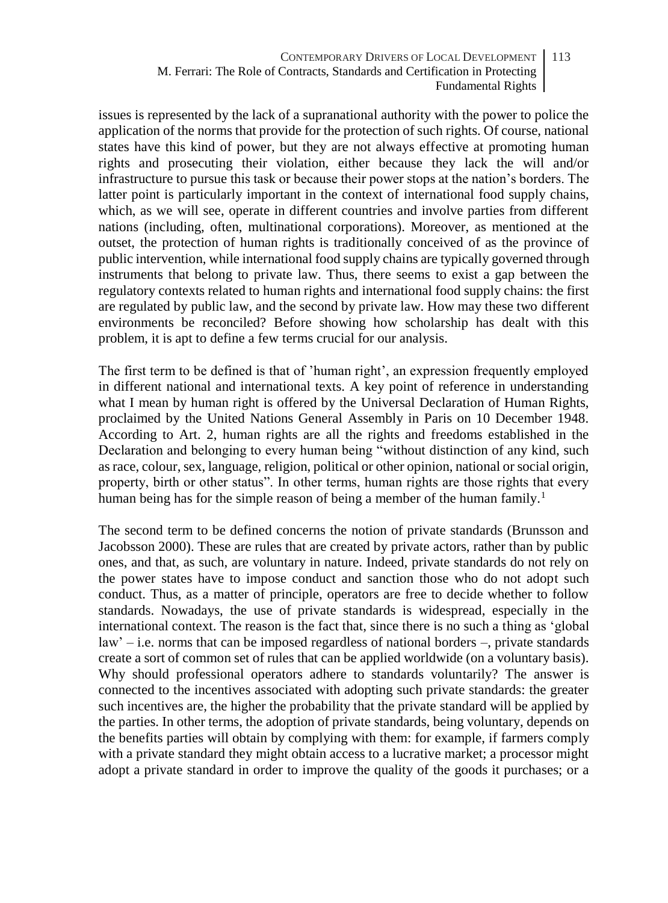issues is represented by the lack of a supranational authority with the power to police the application of the norms that provide for the protection of such rights. Of course, national states have this kind of power, but they are not always effective at promoting human rights and prosecuting their violation, either because they lack the will and/or infrastructure to pursue this task or because their power stops at the nation's borders. The latter point is particularly important in the context of international food supply chains, which, as we will see, operate in different countries and involve parties from different nations (including, often, multinational corporations). Moreover, as mentioned at the outset, the protection of human rights is traditionally conceived of as the province of public intervention, while international food supply chains are typically governed through instruments that belong to private law. Thus, there seems to exist a gap between the regulatory contexts related to human rights and international food supply chains: the first are regulated by public law, and the second by private law. How may these two different environments be reconciled? Before showing how scholarship has dealt with this problem, it is apt to define a few terms crucial for our analysis.

The first term to be defined is that of 'human right', an expression frequently employed in different national and international texts. A key point of reference in understanding what I mean by human right is offered by the Universal Declaration of Human Rights, proclaimed by the United Nations General Assembly in Paris on 10 December 1948. According to Art. 2, human rights are all the rights and freedoms established in the Declaration and belonging to every human being "without distinction of any kind, such as race, colour, sex, language, religion, political or other opinion, national or social origin, property, birth or other status". In other terms, human rights are those rights that every human being has for the simple reason of being a member of the human family.<sup>1</sup>

The second term to be defined concerns the notion of private standards (Brunsson and Jacobsson 2000). These are rules that are created by private actors, rather than by public ones, and that, as such, are voluntary in nature. Indeed, private standards do not rely on the power states have to impose conduct and sanction those who do not adopt such conduct. Thus, as a matter of principle, operators are free to decide whether to follow standards. Nowadays, the use of private standards is widespread, especially in the international context. The reason is the fact that, since there is no such a thing as 'global law' – i.e. norms that can be imposed regardless of national borders –, private standards create a sort of common set of rules that can be applied worldwide (on a voluntary basis). Why should professional operators adhere to standards voluntarily? The answer is connected to the incentives associated with adopting such private standards: the greater such incentives are, the higher the probability that the private standard will be applied by the parties. In other terms, the adoption of private standards, being voluntary, depends on the benefits parties will obtain by complying with them: for example, if farmers comply with a private standard they might obtain access to a lucrative market; a processor might adopt a private standard in order to improve the quality of the goods it purchases; or a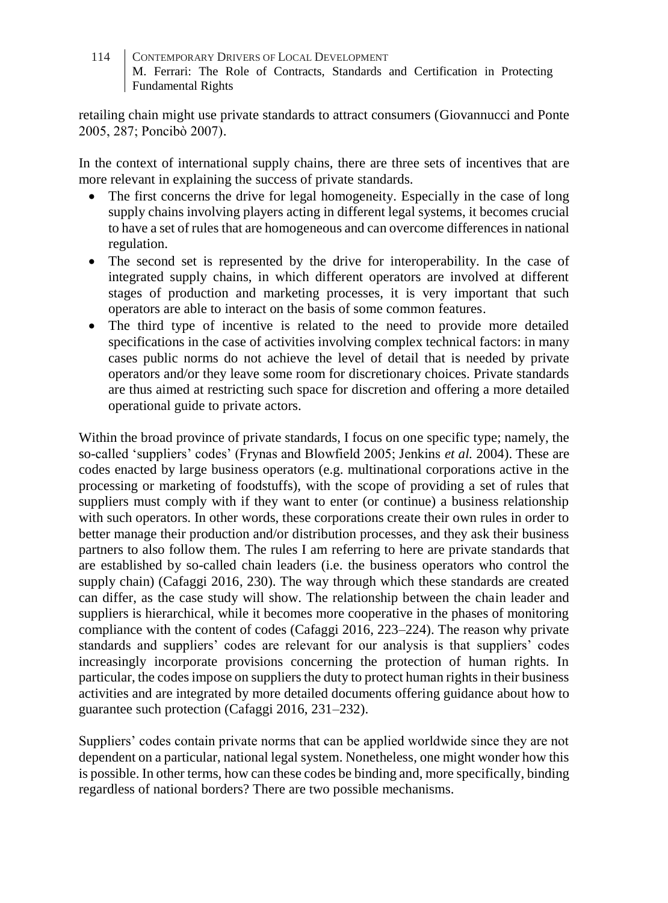retailing chain might use private standards to attract consumers (Giovannucci and Ponte 2005, 287; Poncibò 2007).

In the context of international supply chains, there are three sets of incentives that are more relevant in explaining the success of private standards.

- The first concerns the drive for legal homogeneity. Especially in the case of long supply chains involving players acting in different legal systems, it becomes crucial to have a set of rules that are homogeneous and can overcome differences in national regulation.
- The second set is represented by the drive for interoperability. In the case of integrated supply chains, in which different operators are involved at different stages of production and marketing processes, it is very important that such operators are able to interact on the basis of some common features.
- The third type of incentive is related to the need to provide more detailed specifications in the case of activities involving complex technical factors: in many cases public norms do not achieve the level of detail that is needed by private operators and/or they leave some room for discretionary choices. Private standards are thus aimed at restricting such space for discretion and offering a more detailed operational guide to private actors.

Within the broad province of private standards, I focus on one specific type; namely, the so-called 'suppliers' codes' (Frynas and Blowfield 2005; Jenkins *et al.* 2004). These are codes enacted by large business operators (e.g. multinational corporations active in the processing or marketing of foodstuffs), with the scope of providing a set of rules that suppliers must comply with if they want to enter (or continue) a business relationship with such operators. In other words, these corporations create their own rules in order to better manage their production and/or distribution processes, and they ask their business partners to also follow them. The rules I am referring to here are private standards that are established by so-called chain leaders (i.e. the business operators who control the supply chain) (Cafaggi 2016, 230). The way through which these standards are created can differ, as the case study will show. The relationship between the chain leader and suppliers is hierarchical, while it becomes more cooperative in the phases of monitoring compliance with the content of codes (Cafaggi 2016, 223–224). The reason why private standards and suppliers' codes are relevant for our analysis is that suppliers' codes increasingly incorporate provisions concerning the protection of human rights. In particular, the codes impose on suppliers the duty to protect human rights in their business activities and are integrated by more detailed documents offering guidance about how to guarantee such protection (Cafaggi 2016, 231–232).

Suppliers' codes contain private norms that can be applied worldwide since they are not dependent on a particular, national legal system. Nonetheless, one might wonder how this is possible. In other terms, how can these codes be binding and, more specifically, binding regardless of national borders? There are two possible mechanisms.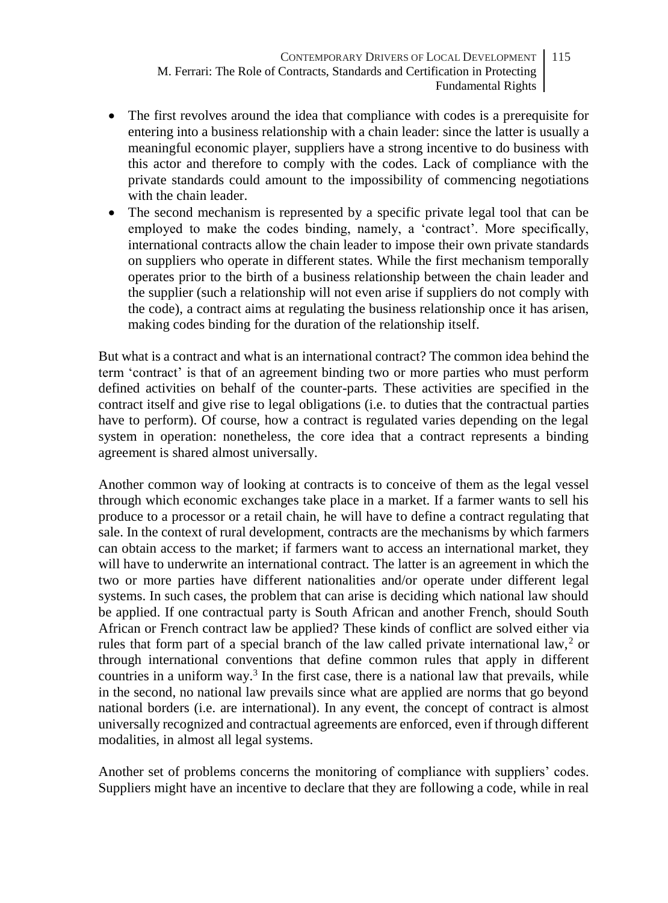- CONTEMPORARY DRIVERS OF LOCAL DEVELOPMENT M. Ferrari: The Role of Contracts, Standards and Certification in Protecting Fundamental Rights 115
- The first revolves around the idea that compliance with codes is a prerequisite for entering into a business relationship with a chain leader: since the latter is usually a meaningful economic player, suppliers have a strong incentive to do business with this actor and therefore to comply with the codes. Lack of compliance with the private standards could amount to the impossibility of commencing negotiations with the chain leader.
- The second mechanism is represented by a specific private legal tool that can be employed to make the codes binding, namely, a 'contract'. More specifically, international contracts allow the chain leader to impose their own private standards on suppliers who operate in different states. While the first mechanism temporally operates prior to the birth of a business relationship between the chain leader and the supplier (such a relationship will not even arise if suppliers do not comply with the code), a contract aims at regulating the business relationship once it has arisen, making codes binding for the duration of the relationship itself.

But what is a contract and what is an international contract? The common idea behind the term 'contract' is that of an agreement binding two or more parties who must perform defined activities on behalf of the counter-parts. These activities are specified in the contract itself and give rise to legal obligations (i.e. to duties that the contractual parties have to perform). Of course, how a contract is regulated varies depending on the legal system in operation: nonetheless, the core idea that a contract represents a binding agreement is shared almost universally.

Another common way of looking at contracts is to conceive of them as the legal vessel through which economic exchanges take place in a market. If a farmer wants to sell his produce to a processor or a retail chain, he will have to define a contract regulating that sale. In the context of rural development, contracts are the mechanisms by which farmers can obtain access to the market; if farmers want to access an international market, they will have to underwrite an international contract. The latter is an agreement in which the two or more parties have different nationalities and/or operate under different legal systems. In such cases, the problem that can arise is deciding which national law should be applied. If one contractual party is South African and another French, should South African or French contract law be applied? These kinds of conflict are solved either via rules that form part of a special branch of the law called private international law,<sup>2</sup> or through international conventions that define common rules that apply in different countries in a uniform way.<sup>3</sup> In the first case, there is a national law that prevails, while in the second, no national law prevails since what are applied are norms that go beyond national borders (i.e. are international). In any event, the concept of contract is almost universally recognized and contractual agreements are enforced, even if through different modalities, in almost all legal systems.

Another set of problems concerns the monitoring of compliance with suppliers' codes. Suppliers might have an incentive to declare that they are following a code, while in real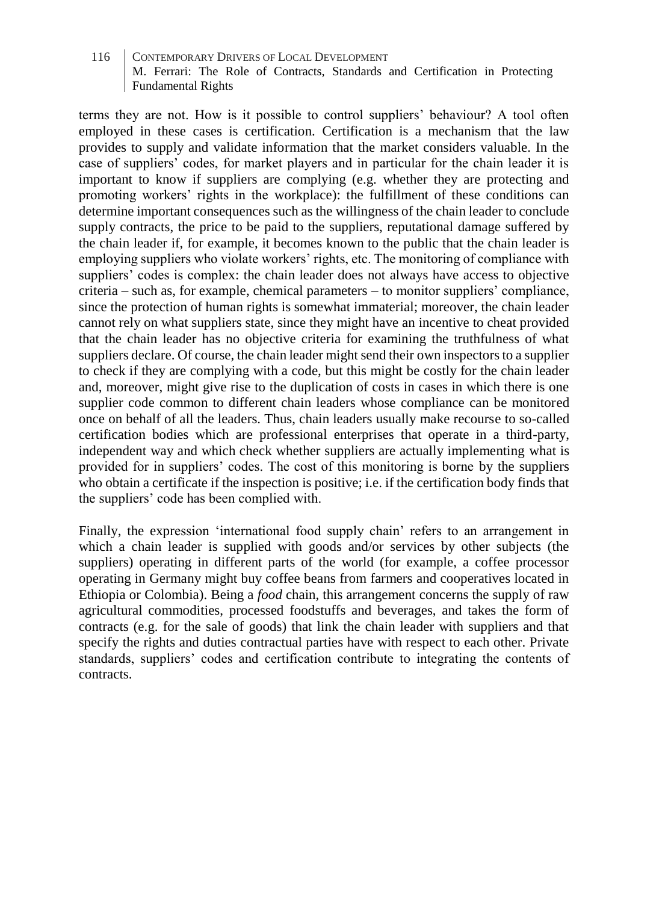terms they are not. How is it possible to control suppliers' behaviour? A tool often employed in these cases is certification. Certification is a mechanism that the law provides to supply and validate information that the market considers valuable. In the case of suppliers' codes, for market players and in particular for the chain leader it is important to know if suppliers are complying (e.g. whether they are protecting and promoting workers' rights in the workplace): the fulfillment of these conditions can determine important consequences such as the willingness of the chain leader to conclude supply contracts, the price to be paid to the suppliers, reputational damage suffered by the chain leader if, for example, it becomes known to the public that the chain leader is employing suppliers who violate workers' rights, etc. The monitoring of compliance with suppliers' codes is complex: the chain leader does not always have access to objective criteria – such as, for example, chemical parameters – to monitor suppliers' compliance, since the protection of human rights is somewhat immaterial; moreover, the chain leader cannot rely on what suppliers state, since they might have an incentive to cheat provided that the chain leader has no objective criteria for examining the truthfulness of what suppliers declare. Of course, the chain leader might send their own inspectors to a supplier to check if they are complying with a code, but this might be costly for the chain leader and, moreover, might give rise to the duplication of costs in cases in which there is one supplier code common to different chain leaders whose compliance can be monitored once on behalf of all the leaders. Thus, chain leaders usually make recourse to so-called certification bodies which are professional enterprises that operate in a third-party, independent way and which check whether suppliers are actually implementing what is provided for in suppliers' codes. The cost of this monitoring is borne by the suppliers who obtain a certificate if the inspection is positive; i.e. if the certification body finds that the suppliers' code has been complied with.

Finally, the expression 'international food supply chain' refers to an arrangement in which a chain leader is supplied with goods and/or services by other subjects (the suppliers) operating in different parts of the world (for example, a coffee processor operating in Germany might buy coffee beans from farmers and cooperatives located in Ethiopia or Colombia). Being a *food* chain, this arrangement concerns the supply of raw agricultural commodities, processed foodstuffs and beverages, and takes the form of contracts (e.g. for the sale of goods) that link the chain leader with suppliers and that specify the rights and duties contractual parties have with respect to each other. Private standards, suppliers' codes and certification contribute to integrating the contents of contracts.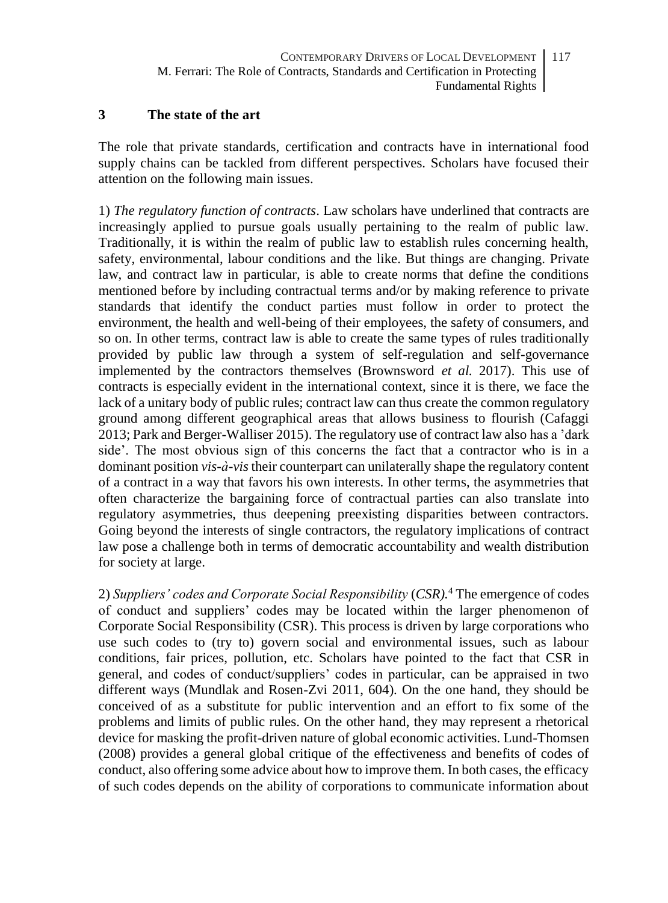### **3 The state of the art**

The role that private standards, certification and contracts have in international food supply chains can be tackled from different perspectives. Scholars have focused their attention on the following main issues.

1) *The regulatory function of contracts*. Law scholars have underlined that contracts are increasingly applied to pursue goals usually pertaining to the realm of public law. Traditionally, it is within the realm of public law to establish rules concerning health, safety, environmental, labour conditions and the like. But things are changing. Private law, and contract law in particular, is able to create norms that define the conditions mentioned before by including contractual terms and/or by making reference to private standards that identify the conduct parties must follow in order to protect the environment, the health and well-being of their employees, the safety of consumers, and so on. In other terms, contract law is able to create the same types of rules traditionally provided by public law through a system of self-regulation and self-governance implemented by the contractors themselves (Brownsword *et al.* 2017). This use of contracts is especially evident in the international context, since it is there, we face the lack of a unitary body of public rules; contract law can thus create the common regulatory ground among different geographical areas that allows business to flourish (Cafaggi 2013; Park and Berger-Walliser 2015). The regulatory use of contract law also has a 'dark side'. The most obvious sign of this concerns the fact that a contractor who is in a dominant position *vis-à-vis* their counterpart can unilaterally shape the regulatory content of a contract in a way that favors his own interests. In other terms, the asymmetries that often characterize the bargaining force of contractual parties can also translate into regulatory asymmetries, thus deepening preexisting disparities between contractors. Going beyond the interests of single contractors, the regulatory implications of contract law pose a challenge both in terms of democratic accountability and wealth distribution for society at large.

2) *Suppliers' codes and Corporate Social Responsibility* (*CSR).*<sup>4</sup> The emergence of codes of conduct and suppliers' codes may be located within the larger phenomenon of Corporate Social Responsibility (CSR). This process is driven by large corporations who use such codes to (try to) govern social and environmental issues, such as labour conditions, fair prices, pollution, etc. Scholars have pointed to the fact that CSR in general, and codes of conduct/suppliers' codes in particular, can be appraised in two different ways (Mundlak and Rosen-Zvi 2011, 604). On the one hand, they should be conceived of as a substitute for public intervention and an effort to fix some of the problems and limits of public rules. On the other hand, they may represent a rhetorical device for masking the profit-driven nature of global economic activities. Lund-Thomsen (2008) provides a general global critique of the effectiveness and benefits of codes of conduct, also offering some advice about how to improve them. In both cases, the efficacy of such codes depends on the ability of corporations to communicate information about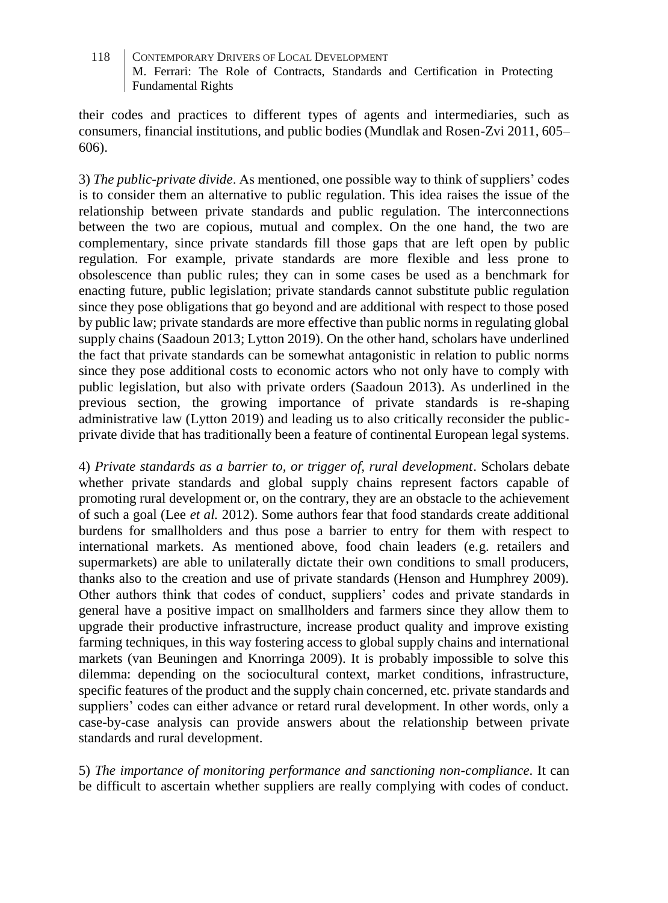their codes and practices to different types of agents and intermediaries, such as consumers, financial institutions, and public bodies (Mundlak and Rosen-Zvi 2011, 605– 606).

3) *The public-private divide*. As mentioned, one possible way to think of suppliers' codes is to consider them an alternative to public regulation. This idea raises the issue of the relationship between private standards and public regulation. The interconnections between the two are copious, mutual and complex. On the one hand, the two are complementary, since private standards fill those gaps that are left open by public regulation. For example, private standards are more flexible and less prone to obsolescence than public rules; they can in some cases be used as a benchmark for enacting future, public legislation; private standards cannot substitute public regulation since they pose obligations that go beyond and are additional with respect to those posed by public law; private standards are more effective than public norms in regulating global supply chains (Saadoun 2013; Lytton 2019). On the other hand, scholars have underlined the fact that private standards can be somewhat antagonistic in relation to public norms since they pose additional costs to economic actors who not only have to comply with public legislation, but also with private orders (Saadoun 2013). As underlined in the previous section, the growing importance of private standards is re-shaping administrative law (Lytton 2019) and leading us to also critically reconsider the publicprivate divide that has traditionally been a feature of continental European legal systems.

4) *Private standards as a barrier to, or trigger of, rural development*. Scholars debate whether private standards and global supply chains represent factors capable of promoting rural development or, on the contrary, they are an obstacle to the achievement of such a goal (Lee *et al.* 2012). Some authors fear that food standards create additional burdens for smallholders and thus pose a barrier to entry for them with respect to international markets. As mentioned above, food chain leaders (e.g. retailers and supermarkets) are able to unilaterally dictate their own conditions to small producers, thanks also to the creation and use of private standards (Henson and Humphrey 2009). Other authors think that codes of conduct, suppliers' codes and private standards in general have a positive impact on smallholders and farmers since they allow them to upgrade their productive infrastructure, increase product quality and improve existing farming techniques, in this way fostering access to global supply chains and international markets (van Beuningen and Knorringa 2009). It is probably impossible to solve this dilemma: depending on the sociocultural context, market conditions, infrastructure, specific features of the product and the supply chain concerned, etc. private standards and suppliers' codes can either advance or retard rural development. In other words, only a case-by-case analysis can provide answers about the relationship between private standards and rural development.

5) *The importance of monitoring performance and sanctioning non-compliance*. It can be difficult to ascertain whether suppliers are really complying with codes of conduct.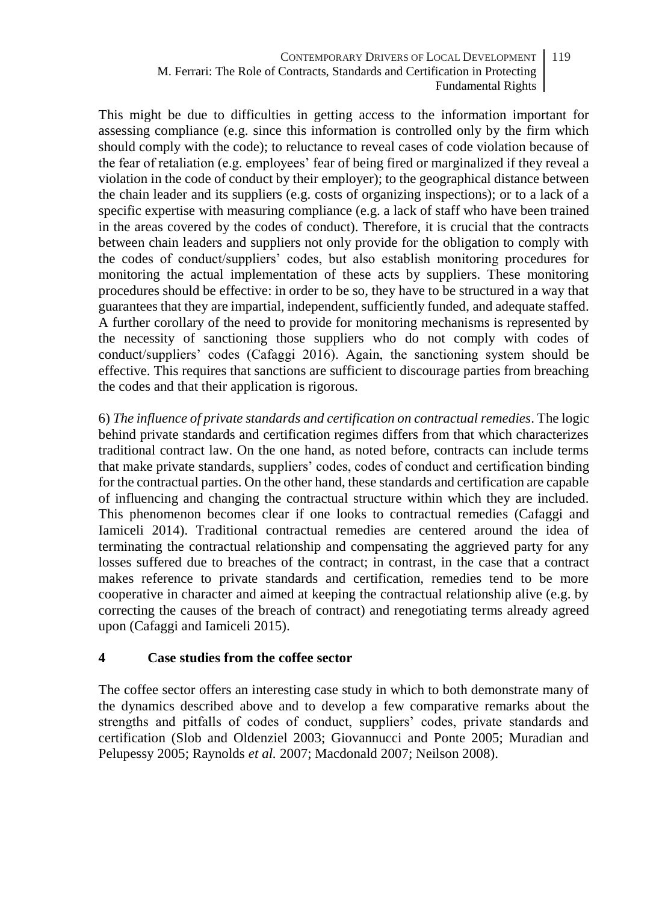This might be due to difficulties in getting access to the information important for assessing compliance (e.g. since this information is controlled only by the firm which should comply with the code); to reluctance to reveal cases of code violation because of the fear of retaliation (e.g. employees' fear of being fired or marginalized if they reveal a violation in the code of conduct by their employer); to the geographical distance between the chain leader and its suppliers (e.g. costs of organizing inspections); or to a lack of a specific expertise with measuring compliance (e.g. a lack of staff who have been trained in the areas covered by the codes of conduct). Therefore, it is crucial that the contracts between chain leaders and suppliers not only provide for the obligation to comply with the codes of conduct/suppliers' codes, but also establish monitoring procedures for monitoring the actual implementation of these acts by suppliers. These monitoring procedures should be effective: in order to be so, they have to be structured in a way that guarantees that they are impartial, independent, sufficiently funded, and adequate staffed. A further corollary of the need to provide for monitoring mechanisms is represented by the necessity of sanctioning those suppliers who do not comply with codes of conduct/suppliers' codes (Cafaggi 2016). Again, the sanctioning system should be effective. This requires that sanctions are sufficient to discourage parties from breaching the codes and that their application is rigorous.

6) *The influence of private standards and certification on contractual remedies*. The logic behind private standards and certification regimes differs from that which characterizes traditional contract law. On the one hand, as noted before, contracts can include terms that make private standards, suppliers' codes, codes of conduct and certification binding for the contractual parties. On the other hand, these standards and certification are capable of influencing and changing the contractual structure within which they are included. This phenomenon becomes clear if one looks to contractual remedies (Cafaggi and Iamiceli 2014). Traditional contractual remedies are centered around the idea of terminating the contractual relationship and compensating the aggrieved party for any losses suffered due to breaches of the contract; in contrast, in the case that a contract makes reference to private standards and certification, remedies tend to be more cooperative in character and aimed at keeping the contractual relationship alive (e.g. by correcting the causes of the breach of contract) and renegotiating terms already agreed upon (Cafaggi and Iamiceli 2015).

### **4 Case studies from the coffee sector**

The coffee sector offers an interesting case study in which to both demonstrate many of the dynamics described above and to develop a few comparative remarks about the strengths and pitfalls of codes of conduct, suppliers' codes, private standards and certification (Slob and Oldenziel 2003; Giovannucci and Ponte 2005; Muradian and Pelupessy 2005; Raynolds *et al.* 2007; Macdonald 2007; Neilson 2008).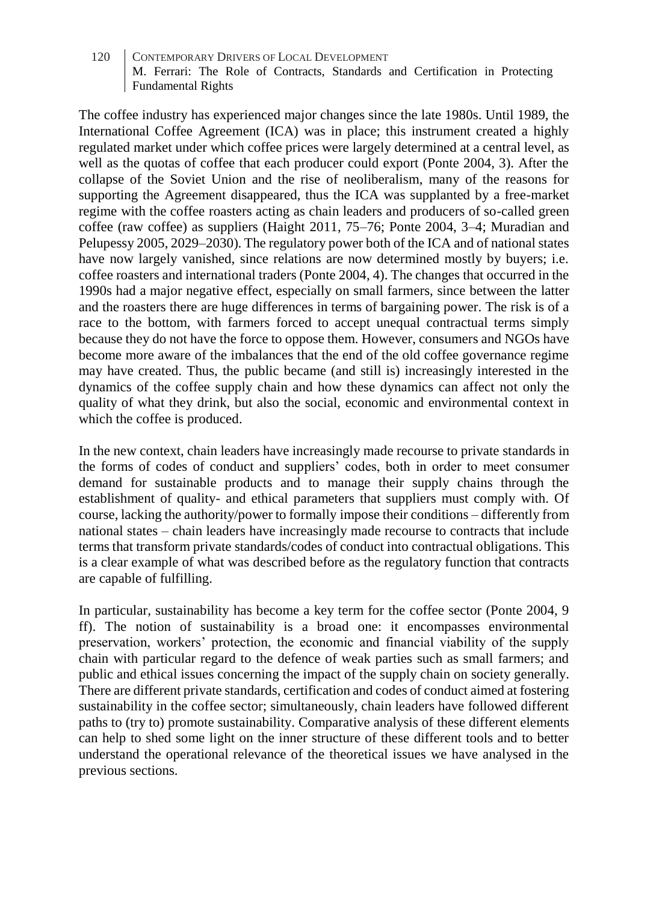The coffee industry has experienced major changes since the late 1980s. Until 1989, the International Coffee Agreement (ICA) was in place; this instrument created a highly regulated market under which coffee prices were largely determined at a central level, as well as the quotas of coffee that each producer could export (Ponte 2004, 3). After the collapse of the Soviet Union and the rise of neoliberalism, many of the reasons for supporting the Agreement disappeared, thus the ICA was supplanted by a free-market regime with the coffee roasters acting as chain leaders and producers of so-called green coffee (raw coffee) as suppliers (Haight 2011, 75–76; Ponte 2004, 3–4; Muradian and Pelupessy 2005, 2029–2030). The regulatory power both of the ICA and of national states have now largely vanished, since relations are now determined mostly by buyers; i.e. coffee roasters and international traders (Ponte 2004, 4). The changes that occurred in the 1990s had a major negative effect, especially on small farmers, since between the latter and the roasters there are huge differences in terms of bargaining power. The risk is of a race to the bottom, with farmers forced to accept unequal contractual terms simply because they do not have the force to oppose them. However, consumers and NGOs have become more aware of the imbalances that the end of the old coffee governance regime may have created. Thus, the public became (and still is) increasingly interested in the dynamics of the coffee supply chain and how these dynamics can affect not only the quality of what they drink, but also the social, economic and environmental context in which the coffee is produced.

In the new context, chain leaders have increasingly made recourse to private standards in the forms of codes of conduct and suppliers' codes, both in order to meet consumer demand for sustainable products and to manage their supply chains through the establishment of quality- and ethical parameters that suppliers must comply with. Of course, lacking the authority/power to formally impose their conditions – differently from national states – chain leaders have increasingly made recourse to contracts that include terms that transform private standards/codes of conduct into contractual obligations. This is a clear example of what was described before as the regulatory function that contracts are capable of fulfilling.

In particular, sustainability has become a key term for the coffee sector (Ponte 2004, 9 ff). The notion of sustainability is a broad one: it encompasses environmental preservation, workers' protection, the economic and financial viability of the supply chain with particular regard to the defence of weak parties such as small farmers; and public and ethical issues concerning the impact of the supply chain on society generally. There are different private standards, certification and codes of conduct aimed at fostering sustainability in the coffee sector; simultaneously, chain leaders have followed different paths to (try to) promote sustainability. Comparative analysis of these different elements can help to shed some light on the inner structure of these different tools and to better understand the operational relevance of the theoretical issues we have analysed in the previous sections.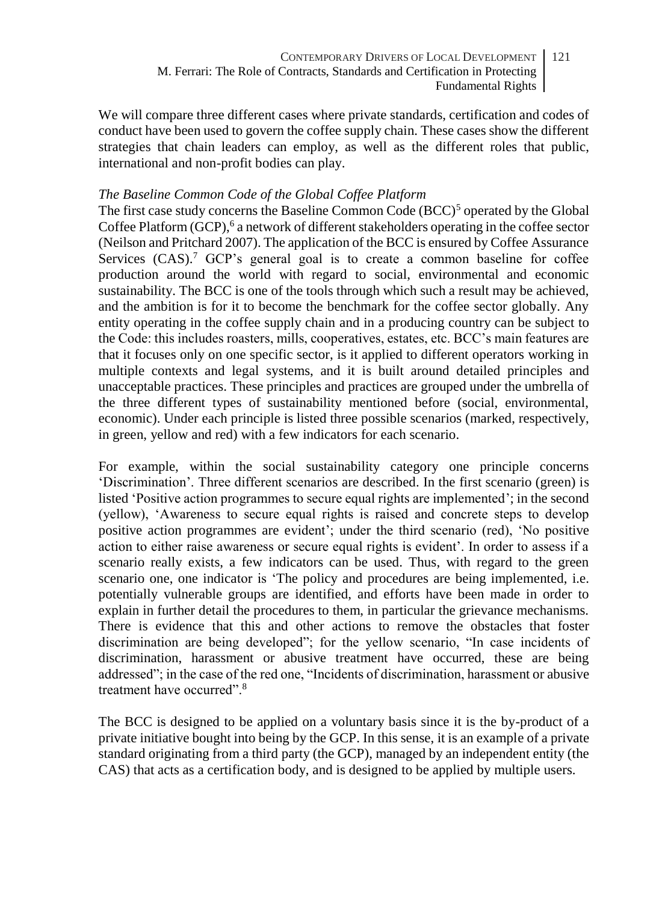We will compare three different cases where private standards, certification and codes of conduct have been used to govern the coffee supply chain. These cases show the different strategies that chain leaders can employ, as well as the different roles that public, international and non-profit bodies can play.

### *The Baseline Common Code of the Global Coffee Platform*

The first case study concerns the Baseline Common Code (BCC)<sup>5</sup> operated by the Global Coffee Platform (GCP),<sup>6</sup> a network of different stakeholders operating in the coffee sector (Neilson and Pritchard 2007). The application of the BCC is ensured by Coffee Assurance Services  $(CAS)$ .<sup>7</sup> GCP's general goal is to create a common baseline for coffee production around the world with regard to social, environmental and economic sustainability. The BCC is one of the tools through which such a result may be achieved, and the ambition is for it to become the benchmark for the coffee sector globally. Any entity operating in the coffee supply chain and in a producing country can be subject to the Code: this includes roasters, mills, cooperatives, estates, etc. BCC's main features are that it focuses only on one specific sector, is it applied to different operators working in multiple contexts and legal systems, and it is built around detailed principles and unacceptable practices. These principles and practices are grouped under the umbrella of the three different types of sustainability mentioned before (social, environmental, economic). Under each principle is listed three possible scenarios (marked, respectively, in green, yellow and red) with a few indicators for each scenario.

For example, within the social sustainability category one principle concerns 'Discrimination'. Three different scenarios are described. In the first scenario (green) is listed 'Positive action programmes to secure equal rights are implemented'; in the second (yellow), 'Awareness to secure equal rights is raised and concrete steps to develop positive action programmes are evident'; under the third scenario (red), 'No positive action to either raise awareness or secure equal rights is evident'. In order to assess if a scenario really exists, a few indicators can be used. Thus, with regard to the green scenario one, one indicator is 'The policy and procedures are being implemented, i.e. potentially vulnerable groups are identified, and efforts have been made in order to explain in further detail the procedures to them, in particular the grievance mechanisms. There is evidence that this and other actions to remove the obstacles that foster discrimination are being developed"; for the yellow scenario, "In case incidents of discrimination, harassment or abusive treatment have occurred, these are being addressed"; in the case of the red one, "Incidents of discrimination, harassment or abusive treatment have occurred".<sup>8</sup>

The BCC is designed to be applied on a voluntary basis since it is the by-product of a private initiative bought into being by the GCP. In this sense, it is an example of a private standard originating from a third party (the GCP), managed by an independent entity (the CAS) that acts as a certification body, and is designed to be applied by multiple users.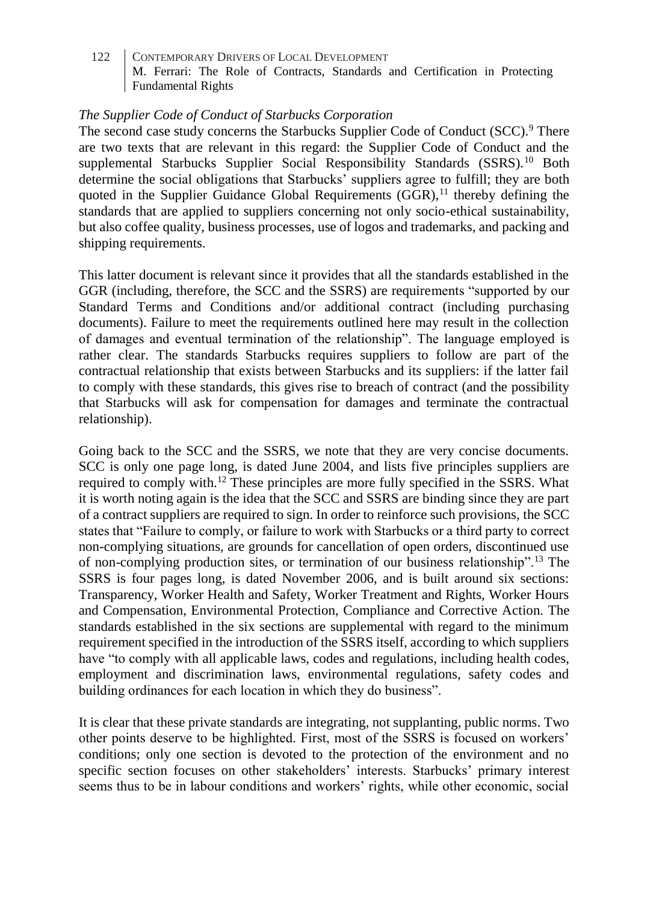### *The Supplier Code of Conduct of Starbucks Corporation*

The second case study concerns the Starbucks Supplier Code of Conduct (SCC).<sup>9</sup> There are two texts that are relevant in this regard: the Supplier Code of Conduct and the supplemental Starbucks Supplier Social Responsibility Standards (SSRS).<sup>10</sup> Both determine the social obligations that Starbucks' suppliers agree to fulfill; they are both quoted in the Supplier Guidance Global Requirements  $(GGR)$ ,<sup>11</sup> thereby defining the standards that are applied to suppliers concerning not only socio-ethical sustainability, but also coffee quality, business processes, use of logos and trademarks, and packing and shipping requirements.

This latter document is relevant since it provides that all the standards established in the GGR (including, therefore, the SCC and the SSRS) are requirements "supported by our Standard Terms and Conditions and/or additional contract (including purchasing documents). Failure to meet the requirements outlined here may result in the collection of damages and eventual termination of the relationship". The language employed is rather clear. The standards Starbucks requires suppliers to follow are part of the contractual relationship that exists between Starbucks and its suppliers: if the latter fail to comply with these standards, this gives rise to breach of contract (and the possibility that Starbucks will ask for compensation for damages and terminate the contractual relationship).

Going back to the SCC and the SSRS, we note that they are very concise documents. SCC is only one page long, is dated June 2004, and lists five principles suppliers are required to comply with.<sup>12</sup> These principles are more fully specified in the SSRS. What it is worth noting again is the idea that the SCC and SSRS are binding since they are part of a contract suppliers are required to sign. In order to reinforce such provisions, the SCC states that "Failure to comply, or failure to work with Starbucks or a third party to correct non-complying situations, are grounds for cancellation of open orders, discontinued use of non-complying production sites, or termination of our business relationship".<sup>13</sup> The SSRS is four pages long, is dated November 2006, and is built around six sections: Transparency, Worker Health and Safety, Worker Treatment and Rights, Worker Hours and Compensation, Environmental Protection, Compliance and Corrective Action. The standards established in the six sections are supplemental with regard to the minimum requirement specified in the introduction of the SSRS itself, according to which suppliers have "to comply with all applicable laws, codes and regulations, including health codes, employment and discrimination laws, environmental regulations, safety codes and building ordinances for each location in which they do business".

It is clear that these private standards are integrating, not supplanting, public norms. Two other points deserve to be highlighted. First, most of the SSRS is focused on workers' conditions; only one section is devoted to the protection of the environment and no specific section focuses on other stakeholders' interests. Starbucks' primary interest seems thus to be in labour conditions and workers' rights, while other economic, social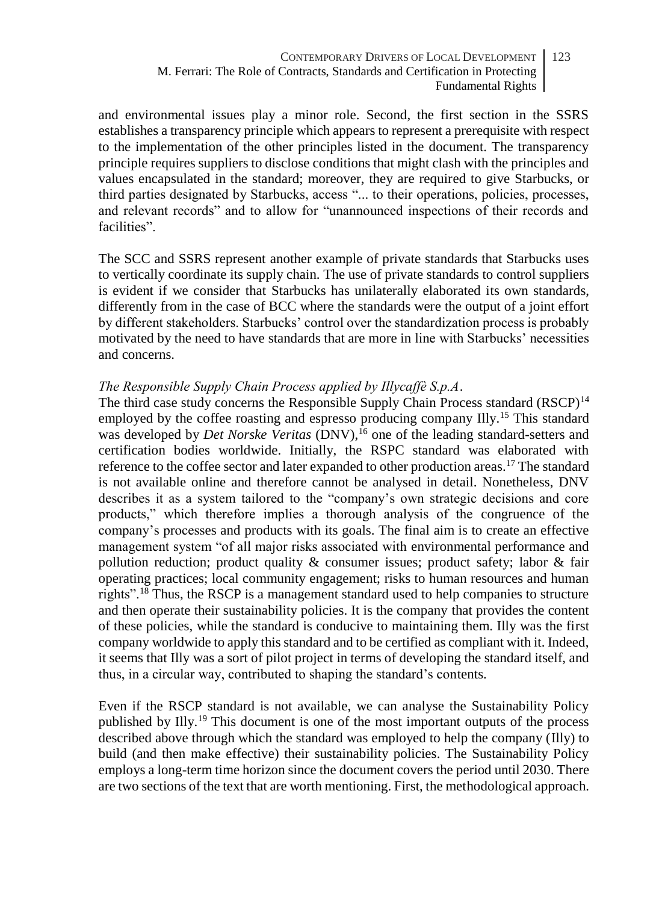and environmental issues play a minor role. Second, the first section in the SSRS establishes a transparency principle which appears to represent a prerequisite with respect to the implementation of the other principles listed in the document. The transparency principle requires suppliers to disclose conditions that might clash with the principles and values encapsulated in the standard; moreover, they are required to give Starbucks, or third parties designated by Starbucks, access "... to their operations, policies, processes, and relevant records" and to allow for "unannounced inspections of their records and facilities".

The SCC and SSRS represent another example of private standards that Starbucks uses to vertically coordinate its supply chain. The use of private standards to control suppliers is evident if we consider that Starbucks has unilaterally elaborated its own standards, differently from in the case of BCC where the standards were the output of a joint effort by different stakeholders. Starbucks' control over the standardization process is probably motivated by the need to have standards that are more in line with Starbucks' necessities and concerns.

### *The Responsible Supply Chain Process applied by Illycaffè S.p.A*.

The third case study concerns the Responsible Supply Chain Process standard  $(RSCP)^{14}$ employed by the coffee roasting and espresso producing company Illy.<sup>15</sup> This standard was developed by *Det Norske Veritas* (DNV),<sup>16</sup> one of the leading standard-setters and certification bodies worldwide. Initially, the RSPC standard was elaborated with reference to the coffee sector and later expanded to other production areas.<sup>17</sup> The standard is not available online and therefore cannot be analysed in detail. Nonetheless, DNV describes it as a system tailored to the "company's own strategic decisions and core products," which therefore implies a thorough analysis of the congruence of the company's processes and products with its goals. The final aim is to create an effective management system "of all major risks associated with environmental performance and pollution reduction; product quality  $\&$  consumer issues; product safety; labor  $\&$  fair operating practices; local community engagement; risks to human resources and human rights".<sup>18</sup> Thus, the RSCP is a management standard used to help companies to structure and then operate their sustainability policies. It is the company that provides the content of these policies, while the standard is conducive to maintaining them. Illy was the first company worldwide to apply this standard and to be certified as compliant with it. Indeed, it seems that Illy was a sort of pilot project in terms of developing the standard itself, and thus, in a circular way, contributed to shaping the standard's contents.

Even if the RSCP standard is not available, we can analyse the Sustainability Policy published by Illy.<sup>19</sup> This document is one of the most important outputs of the process described above through which the standard was employed to help the company (Illy) to build (and then make effective) their sustainability policies. The Sustainability Policy employs a long-term time horizon since the document covers the period until 2030. There are two sections of the text that are worth mentioning. First, the methodological approach.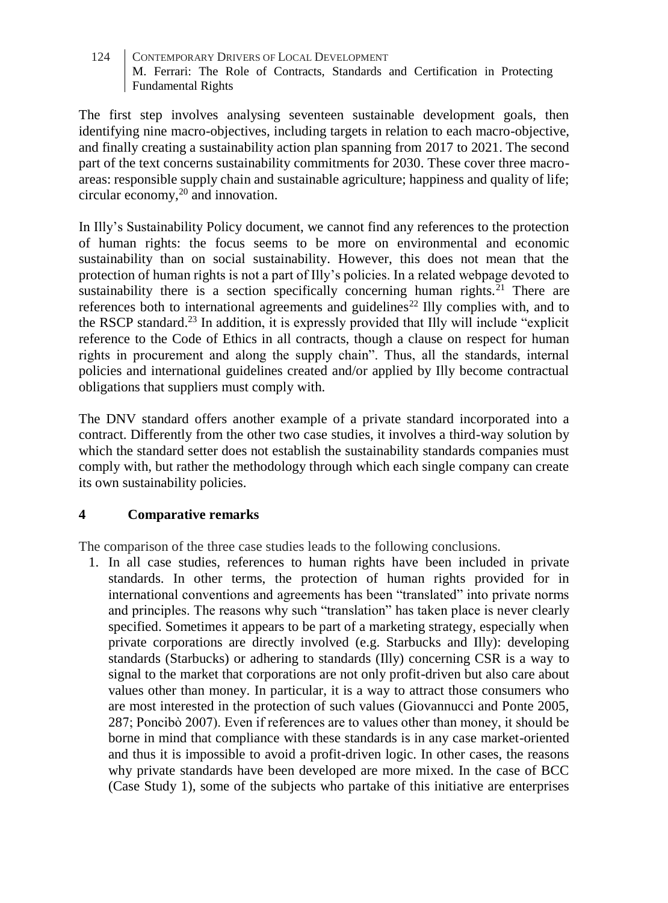The first step involves analysing seventeen sustainable development goals, then identifying nine macro-objectives, including targets in relation to each macro-objective, and finally creating a sustainability action plan spanning from 2017 to 2021. The second part of the text concerns sustainability commitments for 2030. These cover three macroareas: responsible supply chain and sustainable agriculture; happiness and quality of life; circular economy,<sup>20</sup> and innovation.

In Illy's Sustainability Policy document, we cannot find any references to the protection of human rights: the focus seems to be more on environmental and economic sustainability than on social sustainability. However, this does not mean that the protection of human rights is not a part of Illy's policies. In a related webpage devoted to sustainability there is a section specifically concerning human rights.<sup>21</sup> There are references both to international agreements and guidelines<sup>22</sup> Illy complies with, and to the RSCP standard. <sup>23</sup> In addition, it is expressly provided that Illy will include "explicit reference to the Code of Ethics in all contracts, though a clause on respect for human rights in procurement and along the supply chain". Thus, all the standards, internal policies and international guidelines created and/or applied by Illy become contractual obligations that suppliers must comply with.

The DNV standard offers another example of a private standard incorporated into a contract. Differently from the other two case studies, it involves a third-way solution by which the standard setter does not establish the sustainability standards companies must comply with, but rather the methodology through which each single company can create its own sustainability policies.

## **4 Comparative remarks**

The comparison of the three case studies leads to the following conclusions.

1. In all case studies, references to human rights have been included in private standards. In other terms, the protection of human rights provided for in international conventions and agreements has been "translated" into private norms and principles. The reasons why such "translation" has taken place is never clearly specified. Sometimes it appears to be part of a marketing strategy, especially when private corporations are directly involved (e.g. Starbucks and Illy): developing standards (Starbucks) or adhering to standards (Illy) concerning CSR is a way to signal to the market that corporations are not only profit-driven but also care about values other than money. In particular, it is a way to attract those consumers who are most interested in the protection of such values (Giovannucci and Ponte 2005, 287; Poncibò 2007). Even if references are to values other than money, it should be borne in mind that compliance with these standards is in any case market-oriented and thus it is impossible to avoid a profit-driven logic. In other cases, the reasons why private standards have been developed are more mixed. In the case of BCC (Case Study 1), some of the subjects who partake of this initiative are enterprises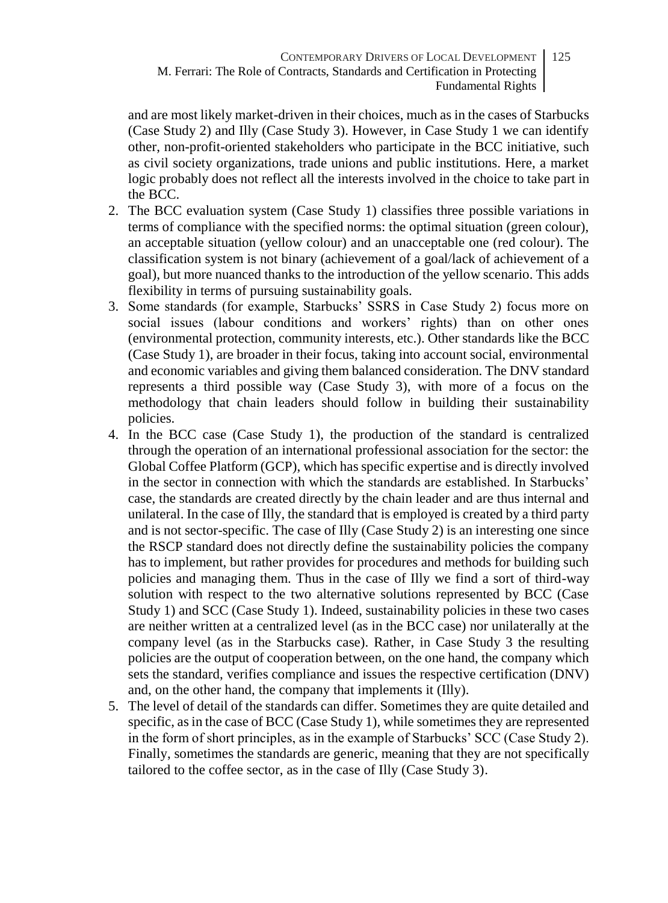and are most likely market-driven in their choices, much as in the cases of Starbucks (Case Study 2) and Illy (Case Study 3). However, in Case Study 1 we can identify other, non-profit-oriented stakeholders who participate in the BCC initiative, such as civil society organizations, trade unions and public institutions. Here, a market logic probably does not reflect all the interests involved in the choice to take part in the BCC.

- 2. The BCC evaluation system (Case Study 1) classifies three possible variations in terms of compliance with the specified norms: the optimal situation (green colour), an acceptable situation (yellow colour) and an unacceptable one (red colour). The classification system is not binary (achievement of a goal/lack of achievement of a goal), but more nuanced thanks to the introduction of the yellow scenario. This adds flexibility in terms of pursuing sustainability goals.
- 3. Some standards (for example, Starbucks' SSRS in Case Study 2) focus more on social issues (labour conditions and workers' rights) than on other ones (environmental protection, community interests, etc.). Other standards like the BCC (Case Study 1), are broader in their focus, taking into account social, environmental and economic variables and giving them balanced consideration. The DNV standard represents a third possible way (Case Study 3), with more of a focus on the methodology that chain leaders should follow in building their sustainability policies.
- 4. In the BCC case (Case Study 1), the production of the standard is centralized through the operation of an international professional association for the sector: the Global Coffee Platform (GCP), which has specific expertise and is directly involved in the sector in connection with which the standards are established. In Starbucks' case, the standards are created directly by the chain leader and are thus internal and unilateral. In the case of Illy, the standard that is employed is created by a third party and is not sector-specific. The case of Illy (Case Study 2) is an interesting one since the RSCP standard does not directly define the sustainability policies the company has to implement, but rather provides for procedures and methods for building such policies and managing them. Thus in the case of Illy we find a sort of third-way solution with respect to the two alternative solutions represented by BCC (Case Study 1) and SCC (Case Study 1). Indeed, sustainability policies in these two cases are neither written at a centralized level (as in the BCC case) nor unilaterally at the company level (as in the Starbucks case). Rather, in Case Study 3 the resulting policies are the output of cooperation between, on the one hand, the company which sets the standard, verifies compliance and issues the respective certification (DNV) and, on the other hand, the company that implements it (Illy).
- 5. The level of detail of the standards can differ. Sometimes they are quite detailed and specific, as in the case of BCC (Case Study 1), while sometimes they are represented in the form of short principles, as in the example of Starbucks' SCC (Case Study 2). Finally, sometimes the standards are generic, meaning that they are not specifically tailored to the coffee sector, as in the case of Illy (Case Study 3).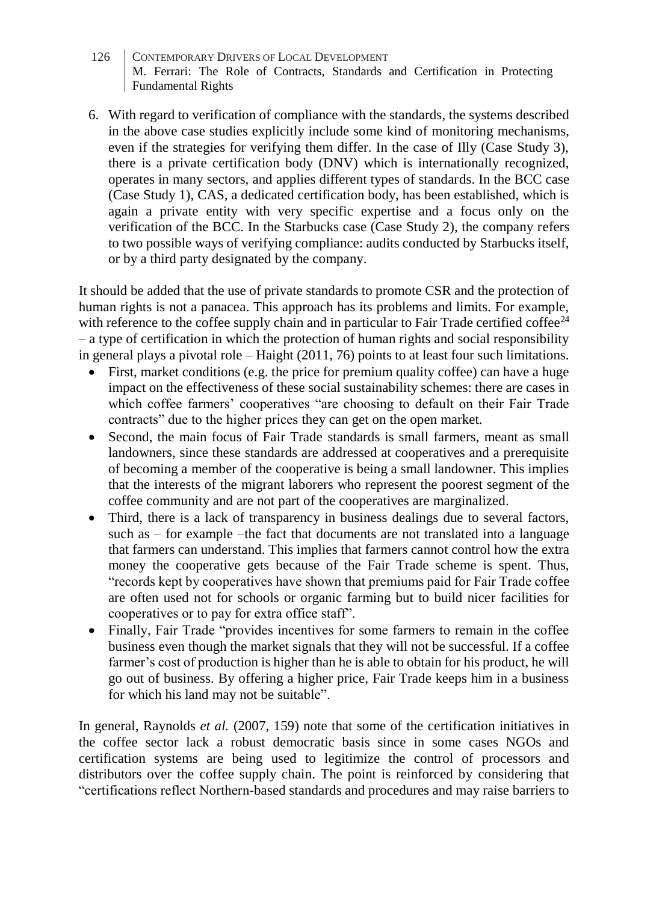- 126 CONTEMPORARY DRIVERS OF LOCAL DEVELOPMENT M. Ferrari: The Role of Contracts, Standards and Certification in Protecting Fundamental Rights
- 6. With regard to verification of compliance with the standards, the systems described in the above case studies explicitly include some kind of monitoring mechanisms, even if the strategies for verifying them differ. In the case of Illy (Case Study 3), there is a private certification body (DNV) which is internationally recognized, operates in many sectors, and applies different types of standards. In the BCC case (Case Study 1), CAS, a dedicated certification body, has been established, which is again a private entity with very specific expertise and a focus only on the verification of the BCC. In the Starbucks case (Case Study 2), the company refers to two possible ways of verifying compliance: audits conducted by Starbucks itself, or by a third party designated by the company.

It should be added that the use of private standards to promote CSR and the protection of human rights is not a panacea. This approach has its problems and limits. For example, with reference to the coffee supply chain and in particular to Fair Trade certified coffee<sup>24</sup> – a type of certification in which the protection of human rights and social responsibility in general plays a pivotal role – Haight (2011, 76) points to at least four such limitations.

- First, market conditions (e.g. the price for premium quality coffee) can have a huge impact on the effectiveness of these social sustainability schemes: there are cases in which coffee farmers' cooperatives "are choosing to default on their Fair Trade contracts" due to the higher prices they can get on the open market.
- Second, the main focus of Fair Trade standards is small farmers, meant as small landowners, since these standards are addressed at cooperatives and a prerequisite of becoming a member of the cooperative is being a small landowner. This implies that the interests of the migrant laborers who represent the poorest segment of the coffee community and are not part of the cooperatives are marginalized.
- Third, there is a lack of transparency in business dealings due to several factors, such as – for example –the fact that documents are not translated into a language that farmers can understand. This implies that farmers cannot control how the extra money the cooperative gets because of the Fair Trade scheme is spent. Thus, "records kept by cooperatives have shown that premiums paid for Fair Trade coffee are often used not for schools or organic farming but to build nicer facilities for cooperatives or to pay for extra office staff".
- Finally, Fair Trade "provides incentives for some farmers to remain in the coffee business even though the market signals that they will not be successful. If a coffee farmer's cost of production is higher than he is able to obtain for his product, he will go out of business. By offering a higher price, Fair Trade keeps him in a business for which his land may not be suitable".

In general, Raynolds *et al.* (2007, 159) note that some of the certification initiatives in the coffee sector lack a robust democratic basis since in some cases NGOs and certification systems are being used to legitimize the control of processors and distributors over the coffee supply chain. The point is reinforced by considering that "certifications reflect Northern-based standards and procedures and may raise barriers to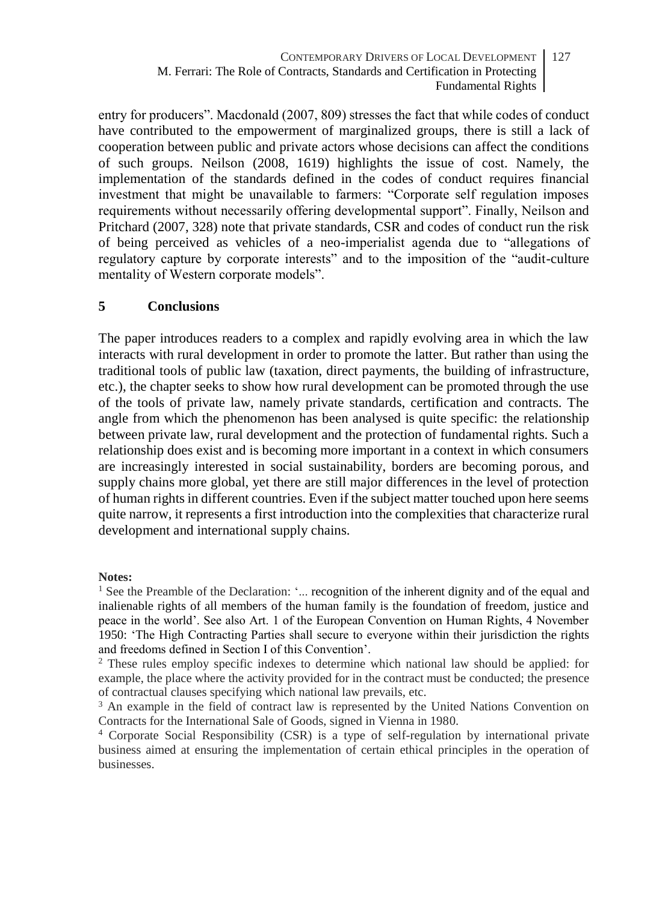entry for producers". Macdonald (2007, 809) stresses the fact that while codes of conduct have contributed to the empowerment of marginalized groups, there is still a lack of cooperation between public and private actors whose decisions can affect the conditions of such groups. Neilson (2008, 1619) highlights the issue of cost. Namely, the implementation of the standards defined in the codes of conduct requires financial investment that might be unavailable to farmers: "Corporate self regulation imposes requirements without necessarily offering developmental support". Finally, Neilson and Pritchard (2007, 328) note that private standards, CSR and codes of conduct run the risk of being perceived as vehicles of a neo-imperialist agenda due to "allegations of regulatory capture by corporate interests" and to the imposition of the "audit-culture mentality of Western corporate models".

### **5 Conclusions**

The paper introduces readers to a complex and rapidly evolving area in which the law interacts with rural development in order to promote the latter. But rather than using the traditional tools of public law (taxation, direct payments, the building of infrastructure, etc.), the chapter seeks to show how rural development can be promoted through the use of the tools of private law, namely private standards, certification and contracts. The angle from which the phenomenon has been analysed is quite specific: the relationship between private law, rural development and the protection of fundamental rights. Such a relationship does exist and is becoming more important in a context in which consumers are increasingly interested in social sustainability, borders are becoming porous, and supply chains more global, yet there are still major differences in the level of protection of human rights in different countries. Even if the subject matter touched upon here seems quite narrow, it represents a first introduction into the complexities that characterize rural development and international supply chains.

#### **Notes:**

<sup>1</sup> See the Preamble of the Declaration: '... recognition of the inherent dignity and of the equal and inalienable rights of all members of the human family is the foundation of freedom, justice and peace in the world'. See also Art. 1 of the European Convention on Human Rights, 4 November 1950: 'The High Contracting Parties shall secure to everyone within their jurisdiction the rights and freedoms defined in Section I of this Convention'.

<sup>2</sup> These rules employ specific indexes to determine which national law should be applied: for example, the place where the activity provided for in the contract must be conducted; the presence of contractual clauses specifying which national law prevails, etc.

<sup>3</sup> An example in the field of contract law is represented by the United Nations Convention on Contracts for the International Sale of Goods, signed in Vienna in 1980.

<sup>4</sup> Corporate Social Responsibility (CSR) is a type of self-regulation by international private business aimed at ensuring the implementation of certain ethical principles in the operation of businesses.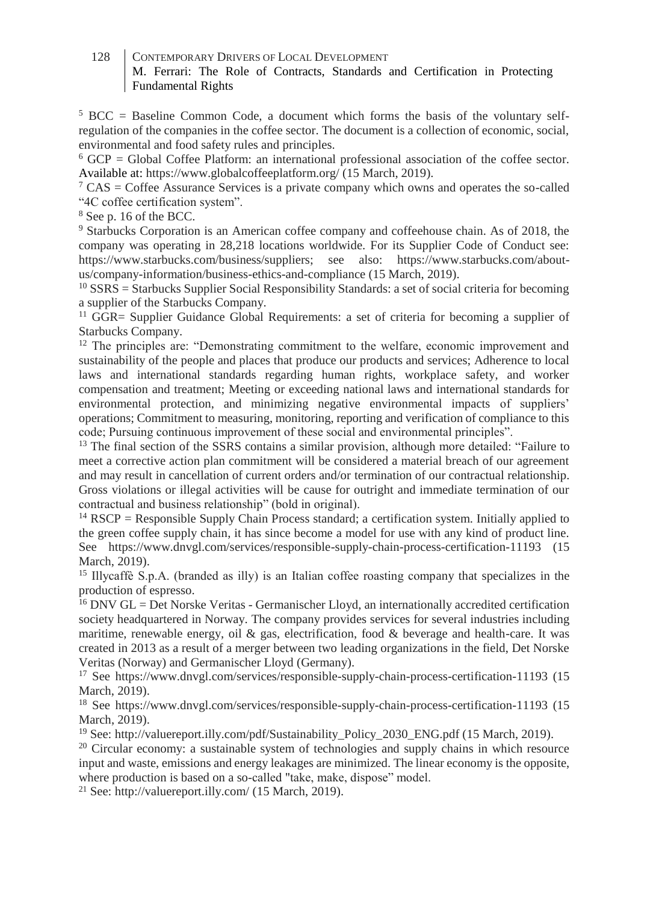$5 \text{ BCC} = \text{Baseline}$  Common Code, a document which forms the basis of the voluntary selfregulation of the companies in the coffee sector. The document is a collection of economic, social, environmental and food safety rules and principles.

 $6$  GCP = Global Coffee Platform: an international professional association of the coffee sector. Available at: https://www.globalcoffeeplatform.org/ (15 March, 2019).

 $\sigma^7$  CAS = Coffee Assurance Services is a private company which owns and operates the so-called "4C coffee certification system".

<sup>8</sup> See p. 16 of the BCC.

<sup>9</sup> Starbucks Corporation is an American coffee company and coffeehouse chain. As of 2018, the company was operating in 28,218 locations worldwide. For its Supplier Code of Conduct see: https://www.starbucks.com/business/suppliers; see also: https://www.starbucks.com/aboutus/company-information/business-ethics-and-compliance (15 March, 2019).

 $10$  SSRS = Starbucks Supplier Social Responsibility Standards: a set of social criteria for becoming a supplier of the Starbucks Company.

<sup>11</sup> GGR= Supplier Guidance Global Requirements: a set of criteria for becoming a supplier of Starbucks Company.

<sup>12</sup> The principles are: "Demonstrating commitment to the welfare, economic improvement and sustainability of the people and places that produce our products and services; Adherence to local laws and international standards regarding human rights, workplace safety, and worker compensation and treatment; Meeting or exceeding national laws and international standards for environmental protection, and minimizing negative environmental impacts of suppliers' operations; Commitment to measuring, monitoring, reporting and verification of compliance to this code; Pursuing continuous improvement of these social and environmental principles".

<sup>13</sup> The final section of the SSRS contains a similar provision, although more detailed: "Failure to meet a corrective action plan commitment will be considered a material breach of our agreement and may result in cancellation of current orders and/or termination of our contractual relationship. Gross violations or illegal activities will be cause for outright and immediate termination of our contractual and business relationship" (bold in original).

 $14$  RSCP = Responsible Supply Chain Process standard; a certification system. Initially applied to the green coffee supply chain, it has since become a model for use with any kind of product line. See https://www.dnvgl.com/services/responsible-supply-chain-process-certification-11193 (15 March, 2019).

<sup>15</sup> Illycaffè S.p.A. (branded as illy) is an Italian coffee roasting company that specializes in the production of espresso.

 $16$  DNV GL = Det Norske Veritas - Germanischer Lloyd, an internationally accredited certification society headquartered in Norway. The company provides services for several industries including maritime, renewable energy, oil & gas, electrification, food & beverage and health-care. It was created in 2013 as a result of a merger between two leading organizations in the field, Det Norske Veritas (Norway) and Germanischer Lloyd (Germany).

<sup>17</sup> See https://www.dnvgl.com/services/responsible-supply-chain-process-certification-11193 (15 March, 2019).

<sup>18</sup> See https://www.dnvgl.com/services/responsible-supply-chain-process-certification-11193 (15 March, 2019).

<sup>19</sup> See: http://valuereport.illy.com/pdf/Sustainability\_Policy\_2030\_ENG.pdf (15 March, 2019).

 $20$  Circular economy: a sustainable system of technologies and supply chains in which resource input and waste, emissions and energy leakages are minimized. The linear economy is the opposite, where production is based on a so-called "take, make, dispose" model.

<sup>21</sup> See[: http://valuereport.illy.com/](http://valuereport.illy.com/) (15 March, 2019).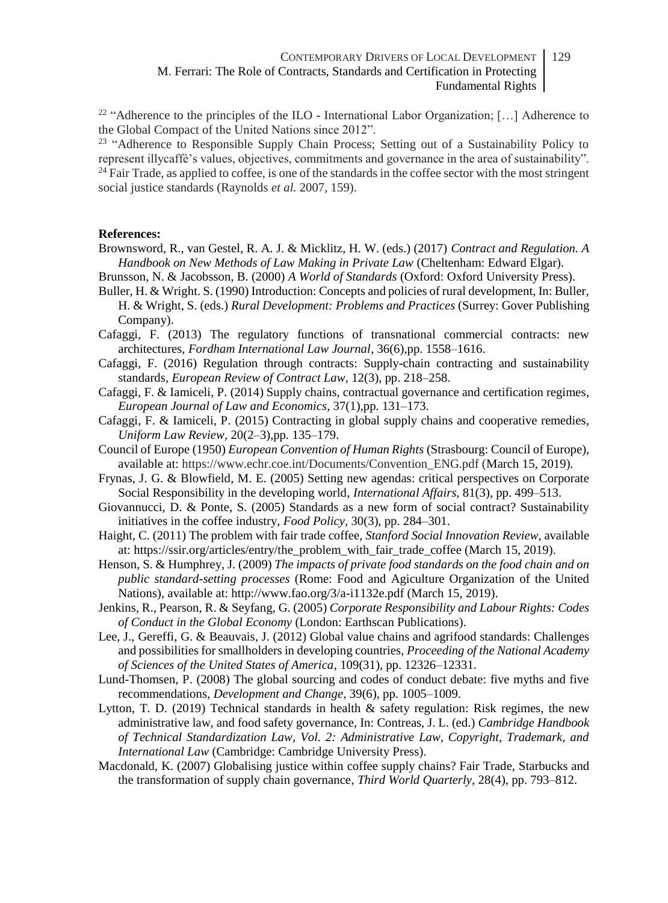<sup>22</sup> "Adherence to the principles of the ILO - International Labor Organization; [...] Adherence to the Global Compact of the United Nations since 2012".

<sup>23</sup> "Adherence to Responsible Supply Chain Process; Setting out of a Sustainability Policy to represent illycaffè's values, objectives, commitments and governance in the area of sustainability".  $24$  Fair Trade, as applied to coffee, is one of the standards in the coffee sector with the most stringent social justice standards (Raynolds *et al.* 2007, 159).

#### **References:**

- Brownsword, R., van Gestel, R. A. J. & Micklitz, H. W. (eds.) (2017) *Contract and Regulation. A Handbook on New Methods of Law Making in Private Law* (Cheltenham: Edward Elgar).
- Brunsson, N. & Jacobsson, B. (2000) *A World of Standards* (Oxford: Oxford University Press).
- Buller, H. & Wright. S. (1990) Introduction: Concepts and policies of rural development, In: Buller, H. & Wright, S. (eds.) *Rural Development: Problems and Practices* (Surrey: Gover Publishing Company).
- Cafaggi, F. (2013) The regulatory functions of transnational commercial contracts: new architectures, *Fordham International Law Journal*, 36(6),pp. 1558–1616.
- Cafaggi, F. (2016) Regulation through contracts: Supply-chain contracting and sustainability standards, *European Review of Contract Law,* 12(3), pp. 218–258.
- Cafaggi, F. & Iamiceli, P. (2014) Supply chains, contractual governance and certification regimes, *European Journal of Law and Economics,* 37(1),pp. 131–173.
- Cafaggi, F. & Iamiceli, P. (2015) Contracting in global supply chains and cooperative remedies, *Uniform Law Review,* 20(2–3),pp. 135–179.
- Council of Europe (1950) *European Convention of Human Rights* (Strasbourg: Council of Europe), available at: https://www.echr.coe.int/Documents/Convention\_ENG.pdf (March 15, 2019).
- Frynas, J. G. & Blowfield, M. E. (2005) Setting new agendas: critical perspectives on Corporate Social Responsibility in the developing world, *International Affairs,* 81(3), pp. 499–513.
- Giovannucci, D. & Ponte, S. (2005) Standards as a new form of social contract? Sustainability initiatives in the coffee industry, *Food Policy,* 30(3), pp. 284–301.
- Haight, C. (2011) The problem with fair trade coffee, *Stanford Social Innovation Review*, available at: https://ssir.org/articles/entry/the\_problem\_with\_fair\_trade\_coffee (March 15, 2019).
- Henson, S. & Humphrey, J. (2009) *The impacts of private food standards on the food chain and on public standard-setting processes* (Rome: Food and Agiculture Organization of the United Nations), available at: http://www.fao.org/3/a-i1132e.pdf (March 15, 2019).
- Jenkins, R., Pearson, R. & Seyfang, G. (2005) *Corporate Responsibility and Labour Rights: Codes of Conduct in the Global Economy* (London: Earthscan Publications).
- Lee, J., Gereffi, G. & Beauvais, J. (2012) Global value chains and agrifood standards: Challenges and possibilities for smallholders in developing countries, *Proceeding of the National Academy of Sciences of the United States of America,* 109(31), pp. 12326–12331.
- Lund-Thomsen, P. (2008) The global sourcing and codes of conduct debate: five myths and five recommendations, *Development and Change,* 39(6), pp. 1005–1009.
- Lytton, T. D. (2019) Technical standards in health & safety regulation: Risk regimes, the new administrative law, and food safety governance, In: Contreas, J. L. (ed.) *Cambridge Handbook of Technical Standardization Law, Vol. 2: Administrative Law, Copyright, Trademark, and International Law* (Cambridge: Cambridge University Press).
- Macdonald, K. (2007) Globalising justice within coffee supply chains? Fair Trade, Starbucks and the transformation of supply chain governance, *Third World Quarterly,* 28(4), pp. 793–812.